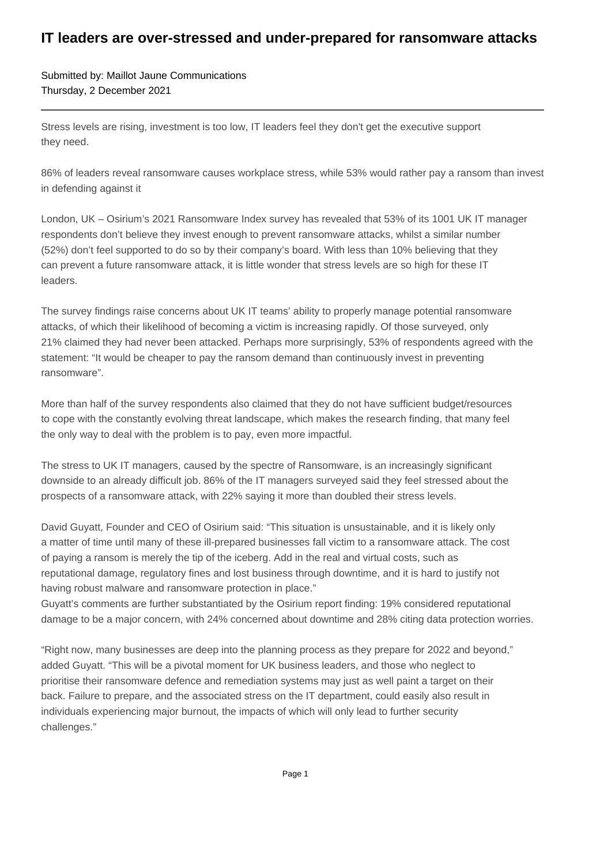## **IT leaders are over-stressed and under-prepared for ransomware attacks**

Submitted by: Maillot Jaune Communications Thursday, 2 December 2021

Stress levels are rising, investment is too low, IT leaders feel they don't get the executive support they need.

86% of leaders reveal ransomware causes workplace stress, while 53% would rather pay a ransom than invest in defending against it

London, UK – Osirium's 2021 Ransomware Index survey has revealed that 53% of its 1001 UK IT manager respondents don't believe they invest enough to prevent ransomware attacks, whilst a similar number (52%) don't feel supported to do so by their company's board. With less than 10% believing that they can prevent a future ransomware attack, it is little wonder that stress levels are so high for these IT leaders.

The survey findings raise concerns about UK IT teams' ability to properly manage potential ransomware attacks, of which their likelihood of becoming a victim is increasing rapidly. Of those surveyed, only 21% claimed they had never been attacked. Perhaps more surprisingly, 53% of respondents agreed with the statement: "It would be cheaper to pay the ransom demand than continuously invest in preventing ransomware".

More than half of the survey respondents also claimed that they do not have sufficient budget/resources to cope with the constantly evolving threat landscape, which makes the research finding, that many feel the only way to deal with the problem is to pay, even more impactful.

The stress to UK IT managers, caused by the spectre of Ransomware, is an increasingly significant downside to an already difficult job. 86% of the IT managers surveyed said they feel stressed about the prospects of a ransomware attack, with 22% saying it more than doubled their stress levels.

David Guyatt, Founder and CEO of Osirium said: "This situation is unsustainable, and it is likely only a matter of time until many of these ill-prepared businesses fall victim to a ransomware attack. The cost of paying a ransom is merely the tip of the iceberg. Add in the real and virtual costs, such as reputational damage, regulatory fines and lost business through downtime, and it is hard to justify not having robust malware and ransomware protection in place."

Guyatt's comments are further substantiated by the Osirium report finding: 19% considered reputational damage to be a major concern, with 24% concerned about downtime and 28% citing data protection worries.

"Right now, many businesses are deep into the planning process as they prepare for 2022 and beyond," added Guyatt. "This will be a pivotal moment for UK business leaders, and those who neglect to prioritise their ransomware defence and remediation systems may just as well paint a target on their back. Failure to prepare, and the associated stress on the IT department, could easily also result in individuals experiencing major burnout, the impacts of which will only lead to further security challenges."